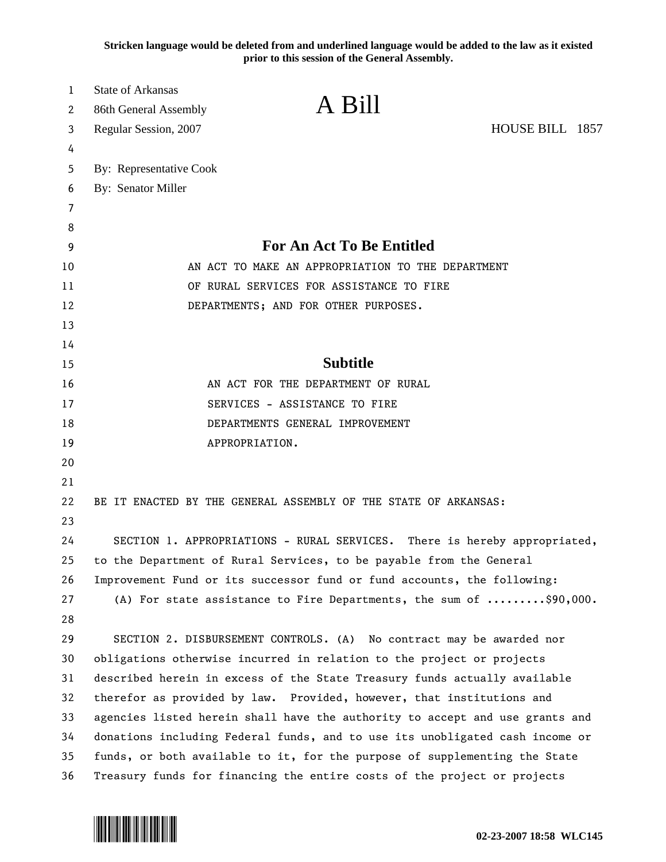**Stricken language would be deleted from and underlined language would be added to the law as it existed prior to this session of the General Assembly.**

| 1  | State of Arkansas       |                                                                                           |                 |  |
|----|-------------------------|-------------------------------------------------------------------------------------------|-----------------|--|
| 2  | 86th General Assembly   | A Bill                                                                                    |                 |  |
| 3  | Regular Session, 2007   |                                                                                           | HOUSE BILL 1857 |  |
| 4  |                         |                                                                                           |                 |  |
| 5  | By: Representative Cook |                                                                                           |                 |  |
| 6  | By: Senator Miller      |                                                                                           |                 |  |
| 7  |                         |                                                                                           |                 |  |
| 8  |                         |                                                                                           |                 |  |
| 9  |                         | <b>For An Act To Be Entitled</b>                                                          |                 |  |
| 10 |                         | AN ACT TO MAKE AN APPROPRIATION TO THE DEPARTMENT                                         |                 |  |
| 11 |                         | OF RURAL SERVICES FOR ASSISTANCE TO FIRE                                                  |                 |  |
| 12 |                         | DEPARTMENTS; AND FOR OTHER PURPOSES.                                                      |                 |  |
| 13 |                         |                                                                                           |                 |  |
| 14 |                         |                                                                                           |                 |  |
| 15 |                         | <b>Subtitle</b>                                                                           |                 |  |
| 16 |                         | AN ACT FOR THE DEPARTMENT OF RURAL                                                        |                 |  |
| 17 |                         | SERVICES - ASSISTANCE TO FIRE                                                             |                 |  |
| 18 |                         | DEPARTMENTS GENERAL IMPROVEMENT                                                           |                 |  |
| 19 |                         | APPROPRIATION.                                                                            |                 |  |
| 20 |                         |                                                                                           |                 |  |
| 21 |                         |                                                                                           |                 |  |
| 22 |                         | BE IT ENACTED BY THE GENERAL ASSEMBLY OF THE STATE OF ARKANSAS:                           |                 |  |
| 23 |                         |                                                                                           |                 |  |
| 24 |                         | SECTION 1. APPROPRIATIONS - RURAL SERVICES. There is hereby appropriated,                 |                 |  |
| 25 |                         | to the Department of Rural Services, to be payable from the General                       |                 |  |
| 26 |                         | Improvement Fund or its successor fund or fund accounts, the following:                   |                 |  |
| 27 |                         | (A) For state assistance to Fire Departments, the sum of $\ldots \ldots \ldots$ \$90,000. |                 |  |
| 28 |                         |                                                                                           |                 |  |
| 29 |                         | SECTION 2. DISBURSEMENT CONTROLS. (A) No contract may be awarded nor                      |                 |  |
| 30 |                         | obligations otherwise incurred in relation to the project or projects                     |                 |  |
| 31 |                         | described herein in excess of the State Treasury funds actually available                 |                 |  |
| 32 |                         | therefor as provided by law. Provided, however, that institutions and                     |                 |  |
| 33 |                         | agencies listed herein shall have the authority to accept and use grants and              |                 |  |
| 34 |                         | donations including Federal funds, and to use its unobligated cash income or              |                 |  |
| 35 |                         | funds, or both available to it, for the purpose of supplementing the State                |                 |  |
| 36 |                         | Treasury funds for financing the entire costs of the project or projects                  |                 |  |